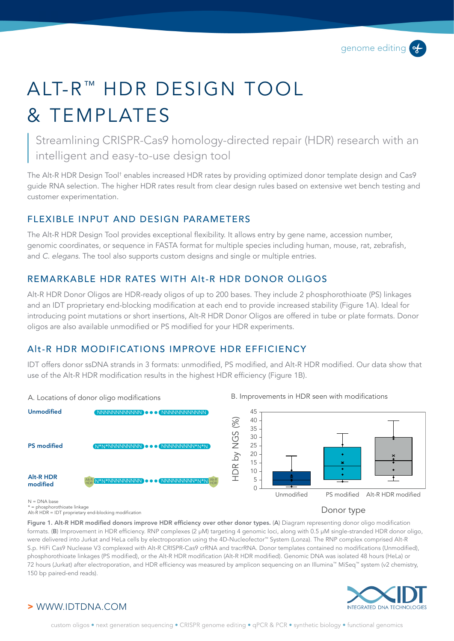# AIT-R<sup>™</sup> HDR DESIGN TOOL & TEMPLATES

Streamlining CRISPR-Cas9 homology-directed repair (HDR) research with an intelligent and easy-to-use design tool

The Alt-R HDR Design Tool† enables increased HDR rates by providing optimized donor template design and Cas9 guide RNA selection. The higher HDR rates result from clear design rules based on extensive wet bench testing and customer experimentation.

## FLEXIBLE INPUT AND DESIGN PARAMETERS

The Alt-R HDR Design Tool provides exceptional flexibility. It allows entry by gene name, accession number, genomic coordinates, or sequence in FASTA format for multiple species including human, mouse, rat, zebrafish, and *C. elegans*. The tool also supports custom designs and single or multiple entries.

## REMARKABLE HDR RATES WITH Alt-R HDR DONOR OLIGOS

Alt-R HDR Donor Oligos are HDR-ready oligos of up to 200 bases. They include 2 phosphorothioate (PS) linkages and an IDT proprietary end-blocking modification at each end to provide increased stability (Figure 1A). Ideal for introducing point mutations or short insertions, Alt-R HDR Donor Oligos are offered in tube or plate formats. Donor oligos are also available unmodified or PS modified for your HDR experiments.

## Alt-R HDR MODIFICATIONS IMPROVE HDR EFFICIENCY

IDT offers donor ssDNA strands in 3 formats: unmodified, PS modified, and Alt-R HDR modified. Our data show that use of the Alt-R HDR modification results in the highest HDR efficiency (Figure 1B).



#### A. Locations of donor oligo modifications **B. Improvements in HDR** seen with modifications



N = DNA base \* = phosphorothioate linkage Alt-R HDR = IDT proprietary end-blocking modification

#### Donor type

Figure 1. Alt-R HDR modified donors improve HDR efficiency over other donor types. (A) Diagram representing donor oligo modification formats. (B) Improvement in HDR efficiency. RNP complexes (2 µM) targeting 4 genomic loci, along with 0.5 µM single-stranded HDR donor oligo, were delivered into Jurkat and HeLa cells by electroporation using the 4D-Nucleofector™ System (Lonza). The RNP complex comprised Alt-R S.p. HiFi Cas9 Nuclease V3 complexed with Alt-R CRISPR-Cas9 crRNA and tracrRNA. Donor templates contained no modifications (Unmodified), phosphorothioate linkages (PS modified), or the Alt-R HDR modification (Alt-R HDR modified). Genomic DNA was isolated 48 hours (HeLa) or 72 hours (Jurkat) after electroporation, and HDR efficiency was measured by amplicon sequencing on an Illumina™ MiSeq™ system (v2 chemistry, 150 bp paired-end reads).



## > WWW.IDTDNA.COM